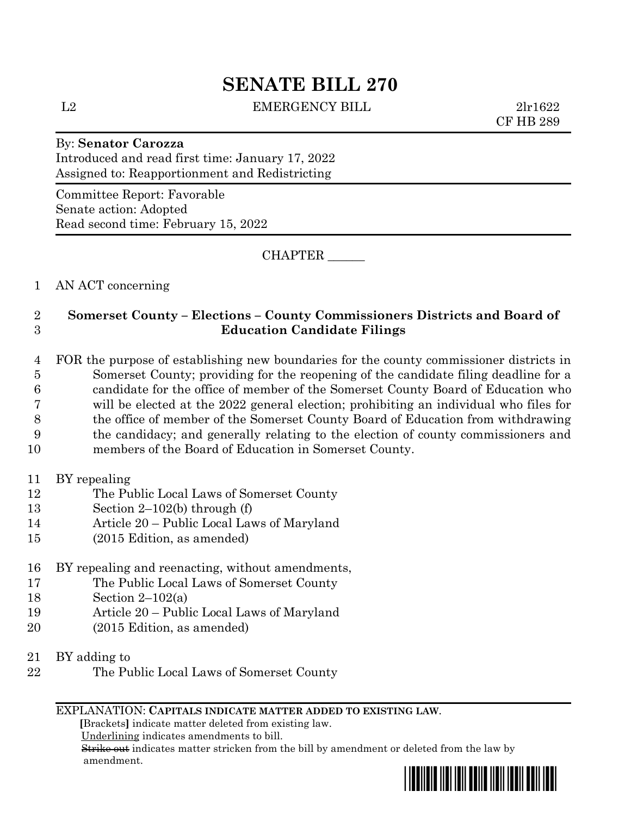# **SENATE BILL 270**

L2 EMERGENCY BILL 2lr1622

CF HB 289

# By: **Senator Carozza** Introduced and read first time: January 17, 2022 Assigned to: Reapportionment and Redistricting

Committee Report: Favorable Senate action: Adopted Read second time: February 15, 2022

CHAPTER \_\_\_\_\_\_

1 AN ACT concerning

# 2 **Somerset County – Elections – County Commissioners Districts and Board of**  3 **Education Candidate Filings**

 FOR the purpose of establishing new boundaries for the county commissioner districts in Somerset County; providing for the reopening of the candidate filing deadline for a candidate for the office of member of the Somerset County Board of Education who will be elected at the 2022 general election; prohibiting an individual who files for the office of member of the Somerset County Board of Education from withdrawing the candidacy; and generally relating to the election of county commissioners and members of the Board of Education in Somerset County.

- 11 BY repealing
- 12 The Public Local Laws of Somerset County
- 13 Section 2–102(b) through (f)
- 14 Article 20 Public Local Laws of Maryland
- 15 (2015 Edition, as amended)
- 16 BY repealing and reenacting, without amendments,
- 17 The Public Local Laws of Somerset County
- 18 Section 2–102(a)
- 19 Article 20 Public Local Laws of Maryland
- 20 (2015 Edition, as amended)
- 21 BY adding to
- 22 The Public Local Laws of Somerset County

## EXPLANATION: **CAPITALS INDICATE MATTER ADDED TO EXISTING LAW**.

 **[**Brackets**]** indicate matter deleted from existing law.

Underlining indicates amendments to bill.

 Strike out indicates matter stricken from the bill by amendment or deleted from the law by amendment.

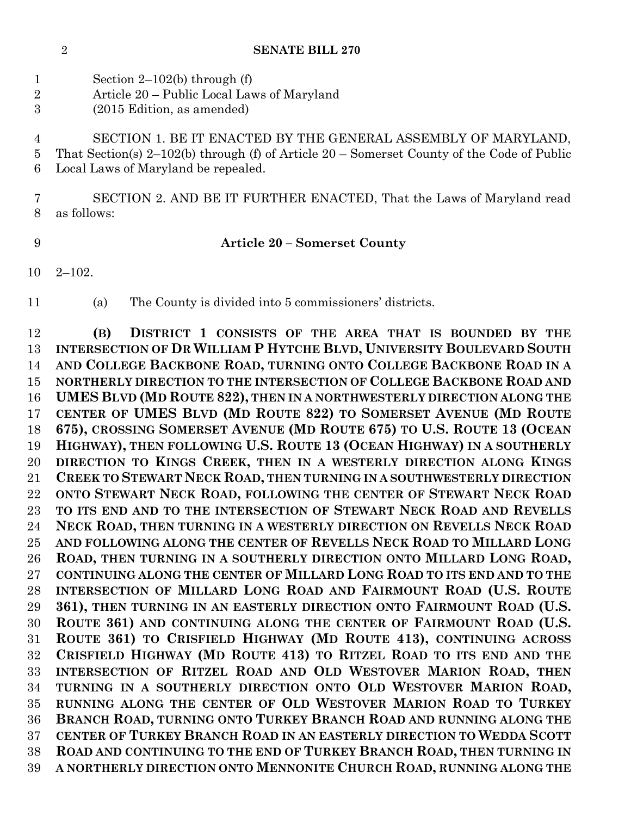## **SENATE BILL 270**

|   | Section 2–102(b) through $(f)$             |
|---|--------------------------------------------|
| 2 | Article 20 – Public Local Laws of Maryland |

(2015 Edition, as amended)

 SECTION 1. BE IT ENACTED BY THE GENERAL ASSEMBLY OF MARYLAND, That Section(s) 2–102(b) through (f) of Article 20 – Somerset County of the Code of Public Local Laws of Maryland be repealed.

 SECTION 2. AND BE IT FURTHER ENACTED, That the Laws of Maryland read as follows:

### **Article 20 – Somerset County**

- 2–102.
- 

(a) The County is divided into 5 commissioners' districts.

 **(B) DISTRICT 1 CONSISTS OF THE AREA THAT IS BOUNDED BY THE INTERSECTION OF DR WILLIAM P HYTCHE BLVD, UNIVERSITY BOULEVARD SOUTH AND COLLEGE BACKBONE ROAD, TURNING ONTO COLLEGE BACKBONE ROAD IN A NORTHERLY DIRECTION TO THE INTERSECTION OF COLLEGE BACKBONE ROAD AND UMES BLVD (MD ROUTE 822), THEN IN A NORTHWESTERLY DIRECTION ALONG THE CENTER OF UMES BLVD (MD ROUTE 822) TO SOMERSET AVENUE (MD ROUTE 675), CROSSING SOMERSET AVENUE (MD ROUTE 675) TO U.S. ROUTE 13 (OCEAN HIGHWAY), THEN FOLLOWING U.S. ROUTE 13 (OCEAN HIGHWAY) IN A SOUTHERLY DIRECTION TO KINGS CREEK, THEN IN A WESTERLY DIRECTION ALONG KINGS CREEK TO STEWART NECK ROAD, THEN TURNING IN A SOUTHWESTERLY DIRECTION ONTO STEWART NECK ROAD, FOLLOWING THE CENTER OF STEWART NECK ROAD TO ITS END AND TO THE INTERSECTION OF STEWART NECK ROAD AND REVELLS NECK ROAD, THEN TURNING IN A WESTERLY DIRECTION ON REVELLS NECK ROAD AND FOLLOWING ALONG THE CENTER OF REVELLS NECK ROAD TO MILLARD LONG ROAD, THEN TURNING IN A SOUTHERLY DIRECTION ONTO MILLARD LONG ROAD, CONTINUING ALONG THE CENTER OF MILLARD LONG ROAD TO ITS END AND TO THE INTERSECTION OF MILLARD LONG ROAD AND FAIRMOUNT ROAD (U.S. ROUTE 361), THEN TURNING IN AN EASTERLY DIRECTION ONTO FAIRMOUNT ROAD (U.S. ROUTE 361) AND CONTINUING ALONG THE CENTER OF FAIRMOUNT ROAD (U.S. ROUTE 361) TO CRISFIELD HIGHWAY (MD ROUTE 413), CONTINUING ACROSS CRISFIELD HIGHWAY (MD ROUTE 413) TO RITZEL ROAD TO ITS END AND THE INTERSECTION OF RITZEL ROAD AND OLD WESTOVER MARION ROAD, THEN TURNING IN A SOUTHERLY DIRECTION ONTO OLD WESTOVER MARION ROAD, RUNNING ALONG THE CENTER OF OLD WESTOVER MARION ROAD TO TURKEY BRANCH ROAD, TURNING ONTO TURKEY BRANCH ROAD AND RUNNING ALONG THE CENTER OF TURKEY BRANCH ROAD IN AN EASTERLY DIRECTION TO WEDDA SCOTT ROAD AND CONTINUING TO THE END OF TURKEY BRANCH ROAD, THEN TURNING IN A NORTHERLY DIRECTION ONTO MENNONITE CHURCH ROAD, RUNNING ALONG THE**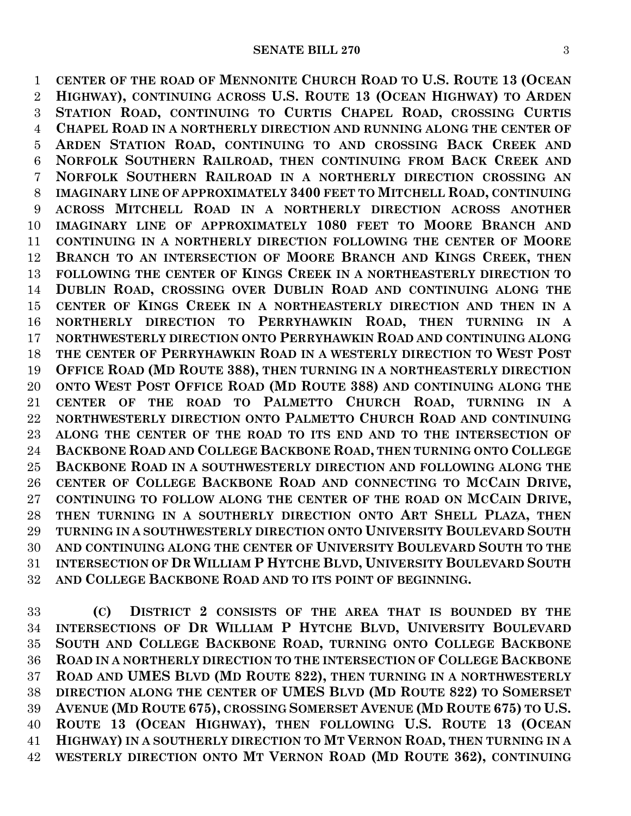**CENTER OF THE ROAD OF MENNONITE CHURCH ROAD TO U.S. ROUTE 13 (OCEAN HIGHWAY), CONTINUING ACROSS U.S. ROUTE 13 (OCEAN HIGHWAY) TO ARDEN STATION ROAD, CONTINUING TO CURTIS CHAPEL ROAD, CROSSING CURTIS CHAPEL ROAD IN A NORTHERLY DIRECTION AND RUNNING ALONG THE CENTER OF ARDEN STATION ROAD, CONTINUING TO AND CROSSING BACK CREEK AND NORFOLK SOUTHERN RAILROAD, THEN CONTINUING FROM BACK CREEK AND NORFOLK SOUTHERN RAILROAD IN A NORTHERLY DIRECTION CROSSING AN IMAGINARY LINE OF APPROXIMATELY 3400 FEET TO MITCHELL ROAD, CONTINUING ACROSS MITCHELL ROAD IN A NORTHERLY DIRECTION ACROSS ANOTHER IMAGINARY LINE OF APPROXIMATELY 1080 FEET TO MOORE BRANCH AND CONTINUING IN A NORTHERLY DIRECTION FOLLOWING THE CENTER OF MOORE BRANCH TO AN INTERSECTION OF MOORE BRANCH AND KINGS CREEK, THEN FOLLOWING THE CENTER OF KINGS CREEK IN A NORTHEASTERLY DIRECTION TO DUBLIN ROAD, CROSSING OVER DUBLIN ROAD AND CONTINUING ALONG THE CENTER OF KINGS CREEK IN A NORTHEASTERLY DIRECTION AND THEN IN A NORTHERLY DIRECTION TO PERRYHAWKIN ROAD, THEN TURNING IN A NORTHWESTERLY DIRECTION ONTO PERRYHAWKIN ROAD AND CONTINUING ALONG THE CENTER OF PERRYHAWKIN ROAD IN A WESTERLY DIRECTION TO WEST POST OFFICE ROAD (MD ROUTE 388), THEN TURNING IN A NORTHEASTERLY DIRECTION ONTO WEST POST OFFICE ROAD (MD ROUTE 388) AND CONTINUING ALONG THE CENTER OF THE ROAD TO PALMETTO CHURCH ROAD, TURNING IN A NORTHWESTERLY DIRECTION ONTO PALMETTO CHURCH ROAD AND CONTINUING ALONG THE CENTER OF THE ROAD TO ITS END AND TO THE INTERSECTION OF BACKBONE ROAD AND COLLEGE BACKBONE ROAD, THEN TURNING ONTO COLLEGE BACKBONE ROAD IN A SOUTHWESTERLY DIRECTION AND FOLLOWING ALONG THE CENTER OF COLLEGE BACKBONE ROAD AND CONNECTING TO MCCAIN DRIVE, CONTINUING TO FOLLOW ALONG THE CENTER OF THE ROAD ON MCCAIN DRIVE, THEN TURNING IN A SOUTHERLY DIRECTION ONTO ART SHELL PLAZA, THEN TURNING IN A SOUTHWESTERLY DIRECTION ONTO UNIVERSITY BOULEVARD SOUTH AND CONTINUING ALONG THE CENTER OF UNIVERSITY BOULEVARD SOUTH TO THE INTERSECTION OF DR WILLIAM P HYTCHE BLVD, UNIVERSITY BOULEVARD SOUTH AND COLLEGE BACKBONE ROAD AND TO ITS POINT OF BEGINNING.**

 **(C) DISTRICT 2 CONSISTS OF THE AREA THAT IS BOUNDED BY THE INTERSECTIONS OF DR WILLIAM P HYTCHE BLVD, UNIVERSITY BOULEVARD SOUTH AND COLLEGE BACKBONE ROAD, TURNING ONTO COLLEGE BACKBONE ROAD IN A NORTHERLY DIRECTION TO THE INTERSECTION OF COLLEGE BACKBONE ROAD AND UMES BLVD (MD ROUTE 822), THEN TURNING IN A NORTHWESTERLY DIRECTION ALONG THE CENTER OF UMES BLVD (MD ROUTE 822) TO SOMERSET AVENUE (MD ROUTE 675), CROSSING SOMERSET AVENUE (MD ROUTE 675) TO U.S. ROUTE 13 (OCEAN HIGHWAY), THEN FOLLOWING U.S. ROUTE 13 (OCEAN HIGHWAY) IN A SOUTHERLY DIRECTION TO MT VERNON ROAD, THEN TURNING IN A WESTERLY DIRECTION ONTO MT VERNON ROAD (MD ROUTE 362), CONTINUING**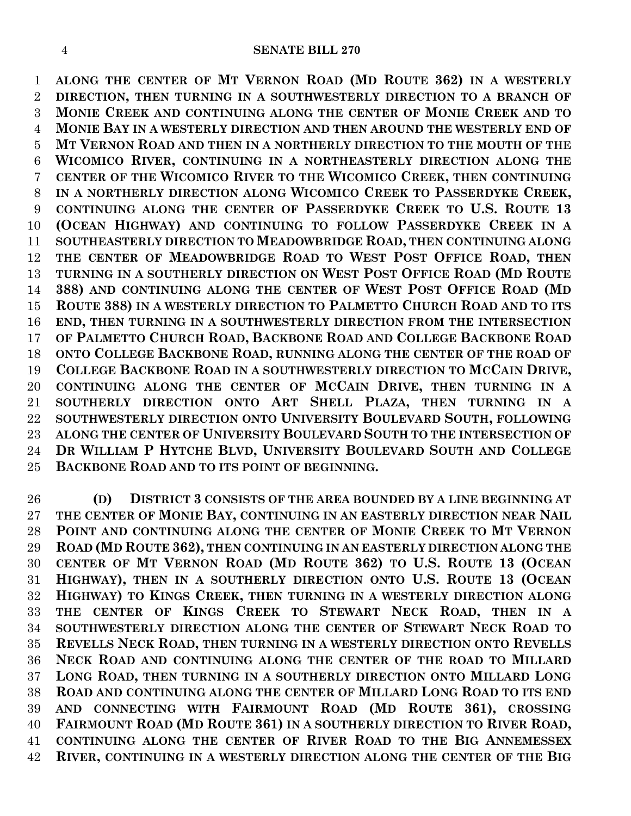#### **SENATE BILL 270**

 **ALONG THE CENTER OF MT VERNON ROAD (MD ROUTE 362) IN A WESTERLY DIRECTION, THEN TURNING IN A SOUTHWESTERLY DIRECTION TO A BRANCH OF MONIE CREEK AND CONTINUING ALONG THE CENTER OF MONIE CREEK AND TO MONIE BAY IN A WESTERLY DIRECTION AND THEN AROUND THE WESTERLY END OF MT VERNON ROAD AND THEN IN A NORTHERLY DIRECTION TO THE MOUTH OF THE WICOMICO RIVER, CONTINUING IN A NORTHEASTERLY DIRECTION ALONG THE CENTER OF THE WICOMICO RIVER TO THE WICOMICO CREEK, THEN CONTINUING IN A NORTHERLY DIRECTION ALONG WICOMICO CREEK TO PASSERDYKE CREEK, CONTINUING ALONG THE CENTER OF PASSERDYKE CREEK TO U.S. ROUTE 13 (OCEAN HIGHWAY) AND CONTINUING TO FOLLOW PASSERDYKE CREEK IN A SOUTHEASTERLY DIRECTION TO MEADOWBRIDGE ROAD, THEN CONTINUING ALONG THE CENTER OF MEADOWBRIDGE ROAD TO WEST POST OFFICE ROAD, THEN TURNING IN A SOUTHERLY DIRECTION ON WEST POST OFFICE ROAD (MD ROUTE 388) AND CONTINUING ALONG THE CENTER OF WEST POST OFFICE ROAD (MD ROUTE 388) IN A WESTERLY DIRECTION TO PALMETTO CHURCH ROAD AND TO ITS END, THEN TURNING IN A SOUTHWESTERLY DIRECTION FROM THE INTERSECTION OF PALMETTO CHURCH ROAD, BACKBONE ROAD AND COLLEGE BACKBONE ROAD ONTO COLLEGE BACKBONE ROAD, RUNNING ALONG THE CENTER OF THE ROAD OF COLLEGE BACKBONE ROAD IN A SOUTHWESTERLY DIRECTION TO MCCAIN DRIVE, CONTINUING ALONG THE CENTER OF MCCAIN DRIVE, THEN TURNING IN A SOUTHERLY DIRECTION ONTO ART SHELL PLAZA, THEN TURNING IN A SOUTHWESTERLY DIRECTION ONTO UNIVERSITY BOULEVARD SOUTH, FOLLOWING ALONG THE CENTER OF UNIVERSITY BOULEVARD SOUTH TO THE INTERSECTION OF DR WILLIAM P HYTCHE BLVD, UNIVERSITY BOULEVARD SOUTH AND COLLEGE BACKBONE ROAD AND TO ITS POINT OF BEGINNING.**

 **(D) DISTRICT 3 CONSISTS OF THE AREA BOUNDED BY A LINE BEGINNING AT THE CENTER OF MONIE BAY, CONTINUING IN AN EASTERLY DIRECTION NEAR NAIL POINT AND CONTINUING ALONG THE CENTER OF MONIE CREEK TO MT VERNON ROAD (MD ROUTE 362), THEN CONTINUING IN AN EASTERLY DIRECTION ALONG THE CENTER OF MT VERNON ROAD (MD ROUTE 362) TO U.S. ROUTE 13 (OCEAN HIGHWAY), THEN IN A SOUTHERLY DIRECTION ONTO U.S. ROUTE 13 (OCEAN HIGHWAY) TO KINGS CREEK, THEN TURNING IN A WESTERLY DIRECTION ALONG THE CENTER OF KINGS CREEK TO STEWART NECK ROAD, THEN IN A SOUTHWESTERLY DIRECTION ALONG THE CENTER OF STEWART NECK ROAD TO REVELLS NECK ROAD, THEN TURNING IN A WESTERLY DIRECTION ONTO REVELLS NECK ROAD AND CONTINUING ALONG THE CENTER OF THE ROAD TO MILLARD LONG ROAD, THEN TURNING IN A SOUTHERLY DIRECTION ONTO MILLARD LONG ROAD AND CONTINUING ALONG THE CENTER OF MILLARD LONG ROAD TO ITS END AND CONNECTING WITH FAIRMOUNT ROAD (MD ROUTE 361), CROSSING FAIRMOUNT ROAD (MD ROUTE 361) IN A SOUTHERLY DIRECTION TO RIVER ROAD, CONTINUING ALONG THE CENTER OF RIVER ROAD TO THE BIG ANNEMESSEX RIVER, CONTINUING IN A WESTERLY DIRECTION ALONG THE CENTER OF THE BIG**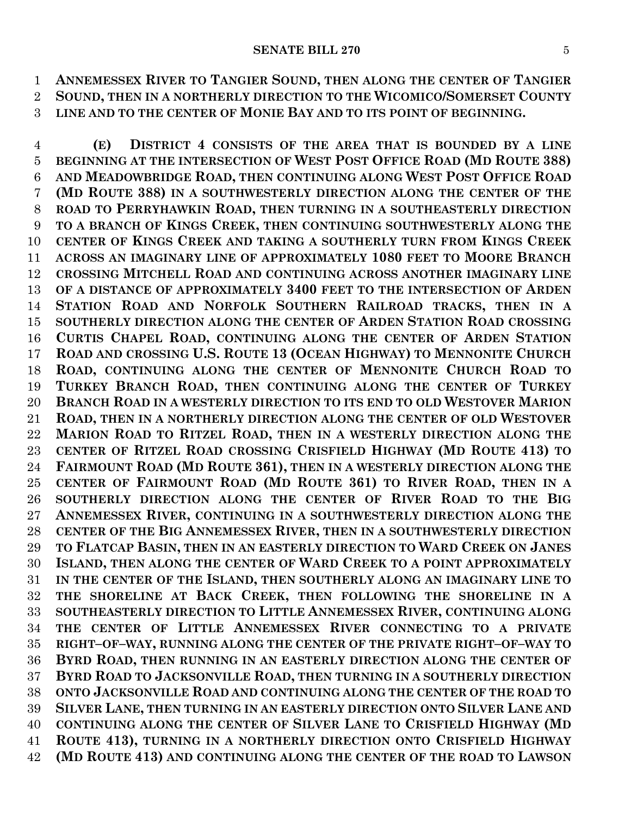#### **SENATE BILL 270** 5

 **ANNEMESSEX RIVER TO TANGIER SOUND, THEN ALONG THE CENTER OF TANGIER SOUND, THEN IN A NORTHERLY DIRECTION TO THE WICOMICO/SOMERSET COUNTY LINE AND TO THE CENTER OF MONIE BAY AND TO ITS POINT OF BEGINNING.**

 **(E) DISTRICT 4 CONSISTS OF THE AREA THAT IS BOUNDED BY A LINE BEGINNING AT THE INTERSECTION OF WEST POST OFFICE ROAD (MD ROUTE 388) AND MEADOWBRIDGE ROAD, THEN CONTINUING ALONG WEST POST OFFICE ROAD (MD ROUTE 388) IN A SOUTHWESTERLY DIRECTION ALONG THE CENTER OF THE ROAD TO PERRYHAWKIN ROAD, THEN TURNING IN A SOUTHEASTERLY DIRECTION TO A BRANCH OF KINGS CREEK, THEN CONTINUING SOUTHWESTERLY ALONG THE CENTER OF KINGS CREEK AND TAKING A SOUTHERLY TURN FROM KINGS CREEK ACROSS AN IMAGINARY LINE OF APPROXIMATELY 1080 FEET TO MOORE BRANCH CROSSING MITCHELL ROAD AND CONTINUING ACROSS ANOTHER IMAGINARY LINE OF A DISTANCE OF APPROXIMATELY 3400 FEET TO THE INTERSECTION OF ARDEN STATION ROAD AND NORFOLK SOUTHERN RAILROAD TRACKS, THEN IN A SOUTHERLY DIRECTION ALONG THE CENTER OF ARDEN STATION ROAD CROSSING CURTIS CHAPEL ROAD, CONTINUING ALONG THE CENTER OF ARDEN STATION ROAD AND CROSSING U.S. ROUTE 13 (OCEAN HIGHWAY) TO MENNONITE CHURCH ROAD, CONTINUING ALONG THE CENTER OF MENNONITE CHURCH ROAD TO TURKEY BRANCH ROAD, THEN CONTINUING ALONG THE CENTER OF TURKEY BRANCH ROAD IN A WESTERLY DIRECTION TO ITS END TO OLD WESTOVER MARION ROAD, THEN IN A NORTHERLY DIRECTION ALONG THE CENTER OF OLD WESTOVER MARION ROAD TO RITZEL ROAD, THEN IN A WESTERLY DIRECTION ALONG THE CENTER OF RITZEL ROAD CROSSING CRISFIELD HIGHWAY (MD ROUTE 413) TO FAIRMOUNT ROAD (MD ROUTE 361), THEN IN A WESTERLY DIRECTION ALONG THE CENTER OF FAIRMOUNT ROAD (MD ROUTE 361) TO RIVER ROAD, THEN IN A SOUTHERLY DIRECTION ALONG THE CENTER OF RIVER ROAD TO THE BIG ANNEMESSEX RIVER, CONTINUING IN A SOUTHWESTERLY DIRECTION ALONG THE CENTER OF THE BIG ANNEMESSEX RIVER, THEN IN A SOUTHWESTERLY DIRECTION TO FLATCAP BASIN, THEN IN AN EASTERLY DIRECTION TO WARD CREEK ON JANES ISLAND, THEN ALONG THE CENTER OF WARD CREEK TO A POINT APPROXIMATELY IN THE CENTER OF THE ISLAND, THEN SOUTHERLY ALONG AN IMAGINARY LINE TO THE SHORELINE AT BACK CREEK, THEN FOLLOWING THE SHORELINE IN A SOUTHEASTERLY DIRECTION TO LITTLE ANNEMESSEX RIVER, CONTINUING ALONG THE CENTER OF LITTLE ANNEMESSEX RIVER CONNECTING TO A PRIVATE RIGHT–OF–WAY, RUNNING ALONG THE CENTER OF THE PRIVATE RIGHT–OF–WAY TO BYRD ROAD, THEN RUNNING IN AN EASTERLY DIRECTION ALONG THE CENTER OF BYRD ROAD TO JACKSONVILLE ROAD, THEN TURNING IN A SOUTHERLY DIRECTION ONTO JACKSONVILLE ROAD AND CONTINUING ALONG THE CENTER OF THE ROAD TO SILVER LANE, THEN TURNING IN AN EASTERLY DIRECTION ONTO SILVER LANE AND CONTINUING ALONG THE CENTER OF SILVER LANE TO CRISFIELD HIGHWAY (MD ROUTE 413), TURNING IN A NORTHERLY DIRECTION ONTO CRISFIELD HIGHWAY (MD ROUTE 413) AND CONTINUING ALONG THE CENTER OF THE ROAD TO LAWSON**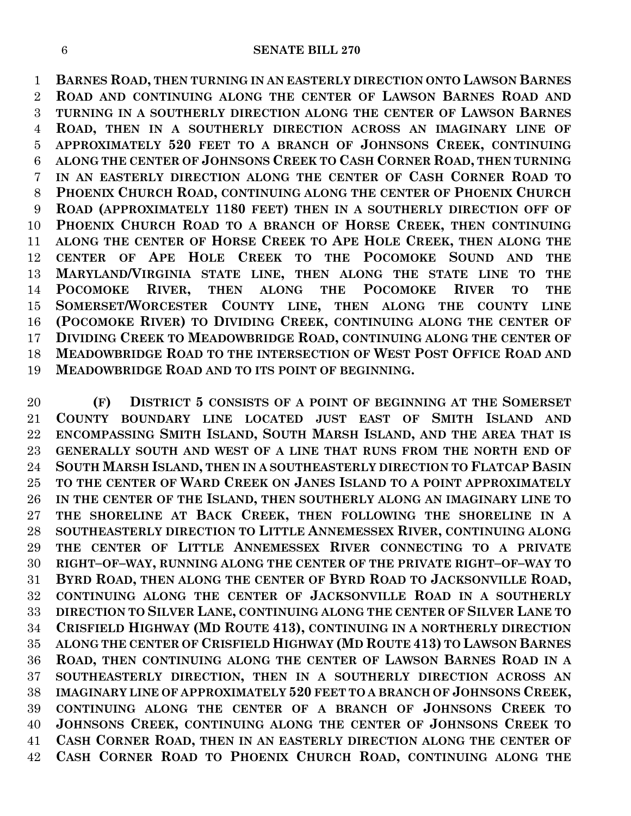**BARNES ROAD, THEN TURNING IN AN EASTERLY DIRECTION ONTO LAWSON BARNES ROAD AND CONTINUING ALONG THE CENTER OF LAWSON BARNES ROAD AND TURNING IN A SOUTHERLY DIRECTION ALONG THE CENTER OF LAWSON BARNES ROAD, THEN IN A SOUTHERLY DIRECTION ACROSS AN IMAGINARY LINE OF APPROXIMATELY 520 FEET TO A BRANCH OF JOHNSONS CREEK, CONTINUING ALONG THE CENTER OF JOHNSONS CREEK TO CASH CORNER ROAD, THEN TURNING IN AN EASTERLY DIRECTION ALONG THE CENTER OF CASH CORNER ROAD TO PHOENIX CHURCH ROAD, CONTINUING ALONG THE CENTER OF PHOENIX CHURCH ROAD (APPROXIMATELY 1180 FEET) THEN IN A SOUTHERLY DIRECTION OFF OF PHOENIX CHURCH ROAD TO A BRANCH OF HORSE CREEK, THEN CONTINUING ALONG THE CENTER OF HORSE CREEK TO APE HOLE CREEK, THEN ALONG THE CENTER OF APE HOLE CREEK TO THE POCOMOKE SOUND AND THE MARYLAND/VIRGINIA STATE LINE, THEN ALONG THE STATE LINE TO THE POCOMOKE RIVER, THEN ALONG THE POCOMOKE RIVER TO THE SOMERSET/WORCESTER COUNTY LINE, THEN ALONG THE COUNTY LINE (POCOMOKE RIVER) TO DIVIDING CREEK, CONTINUING ALONG THE CENTER OF DIVIDING CREEK TO MEADOWBRIDGE ROAD, CONTINUING ALONG THE CENTER OF MEADOWBRIDGE ROAD TO THE INTERSECTION OF WEST POST OFFICE ROAD AND MEADOWBRIDGE ROAD AND TO ITS POINT OF BEGINNING.**

 **(F) DISTRICT 5 CONSISTS OF A POINT OF BEGINNING AT THE SOMERSET COUNTY BOUNDARY LINE LOCATED JUST EAST OF SMITH ISLAND AND ENCOMPASSING SMITH ISLAND, SOUTH MARSH ISLAND, AND THE AREA THAT IS GENERALLY SOUTH AND WEST OF A LINE THAT RUNS FROM THE NORTH END OF SOUTH MARSH ISLAND, THEN IN A SOUTHEASTERLY DIRECTION TO FLATCAP BASIN TO THE CENTER OF WARD CREEK ON JANES ISLAND TO A POINT APPROXIMATELY IN THE CENTER OF THE ISLAND, THEN SOUTHERLY ALONG AN IMAGINARY LINE TO THE SHORELINE AT BACK CREEK, THEN FOLLOWING THE SHORELINE IN A SOUTHEASTERLY DIRECTION TO LITTLE ANNEMESSEX RIVER, CONTINUING ALONG THE CENTER OF LITTLE ANNEMESSEX RIVER CONNECTING TO A PRIVATE RIGHT–OF–WAY, RUNNING ALONG THE CENTER OF THE PRIVATE RIGHT–OF–WAY TO BYRD ROAD, THEN ALONG THE CENTER OF BYRD ROAD TO JACKSONVILLE ROAD, CONTINUING ALONG THE CENTER OF JACKSONVILLE ROAD IN A SOUTHERLY DIRECTION TO SILVER LANE, CONTINUING ALONG THE CENTER OF SILVER LANE TO CRISFIELD HIGHWAY (MD ROUTE 413), CONTINUING IN A NORTHERLY DIRECTION ALONG THE CENTER OF CRISFIELD HIGHWAY (MD ROUTE 413) TO LAWSON BARNES ROAD, THEN CONTINUING ALONG THE CENTER OF LAWSON BARNES ROAD IN A SOUTHEASTERLY DIRECTION, THEN IN A SOUTHERLY DIRECTION ACROSS AN IMAGINARY LINE OF APPROXIMATELY 520 FEET TO A BRANCH OF JOHNSONS CREEK, CONTINUING ALONG THE CENTER OF A BRANCH OF JOHNSONS CREEK TO JOHNSONS CREEK, CONTINUING ALONG THE CENTER OF JOHNSONS CREEK TO CASH CORNER ROAD, THEN IN AN EASTERLY DIRECTION ALONG THE CENTER OF CASH CORNER ROAD TO PHOENIX CHURCH ROAD, CONTINUING ALONG THE**